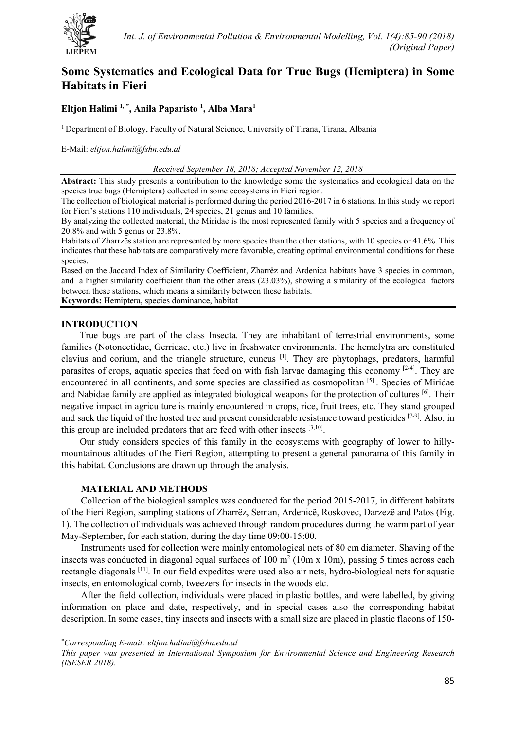

# **Some Systematics and Ecological Data for True Bugs (Hemiptera) in Some Habitats in Fieri**

# **Eltjon Halimi 1, [\\*](#page-0-0) , Anila Paparisto 1 , Alba Mara1**

1 Department of Biology, Faculty of Natural Science, University of Tirana, Tirana, Albania

E-Mail: *eltjon.halimi@fshn.edu.al*

*Received September 18, 2018; Accepted November 12, 2018*

**Abstract:** This study presents a contribution to the knowledge some the systematics and ecological data on the species true bugs (Hemiptera) collected in some ecosystems in Fieri region.

The collection of biological material is performed during the period 2016-2017 in 6 stations. In this study we report for Fieri's stations 110 individuals, 24 species, 21 genus and 10 families.

By analyzing the collected material, the Miridae is the most represented family with 5 species and a frequency of 20.8% and with 5 genus or 23.8%.

Habitats of Zharrzës station are represented by more species than the other stations, with 10 species or 41.6%. This indicates that these habitats are comparatively more favorable, creating optimal environmental conditions for these species.

Based on the Jaccard Index of Similarity Coefficient, Zharrëz and Ardenica habitats have 3 species in common, and a higher similarity coefficient than the other areas (23.03%), showing a similarity of the ecological factors between these stations, which means a similarity between these habitats.

**Keywords:** Hemiptera, species dominance, habitat

#### **INTRODUCTION**

True bugs are part of the class Insecta. They are inhabitant of terrestrial environments, some families (Notonectidae, Gerridae, etc.) live in freshwater environments. The hemelytra are constituted clavius and corium, and the triangle structure, cuneus [1]. They are phytophags, predators, harmful parasites of crops, aquatic species that feed on with fish larvae damaging this economy  $[2-4]$ . They are encountered in all continents, and some species are classified as cosmopolitan [5] . Species of Miridae and Nabidae family are applied as integrated biological weapons for the protection of cultures [6]. Their negative impact in agriculture is mainly encountered in crops, rice, fruit trees, etc. They stand grouped and sack the liquid of the hosted tree and present considerable resistance toward pesticides [7-9]. Also, in this group are included predators that are feed with other insects  $[3,10]$ .

Our study considers species of this family in the ecosystems with geography of lower to hillymountainous altitudes of the Fieri Region, attempting to present a general panorama of this family in this habitat. Conclusions are drawn up through the analysis.

#### **MATERIAL AND METHODS**

Collection of the biological samples was conducted for the period 2015-2017, in different habitats of the Fieri Region, sampling stations of Zharrëz, Seman, Ardenicë, Roskovec, Darzezë and Patos (Fig. 1). The collection of individuals was achieved through random procedures during the warm part of year May-September, for each station, during the day time  $09:00-15:00$ .

Instruments used for collection were mainly entomological nets of 80 cm diameter. Shaving of the insects was conducted in diagonal equal surfaces of  $100 \text{ m}^2$  ( $10 \text{m} \times 10 \text{m}$ ), passing 5 times across each rectangle diagonals [11]. In our field expedites were used also air nets, hydro-biological nets for aquatic insects, en entomological comb, tweezers for insects in the woods etc.

After the field collection, individuals were placed in plastic bottles, and were labelled, by giving information on place and date, respectively, and in special cases also the corresponding habitat description. In some cases, tiny insects and insects with a small size are placed in plastic flacons of 150-

l

<span id="page-0-0"></span><sup>\*</sup> *Corresponding E-mail: eltjon.halimi@fshn.edu.al*

*This paper was presented in International Symposium for Environmental Science and Engineering Research (ISESER 2018).*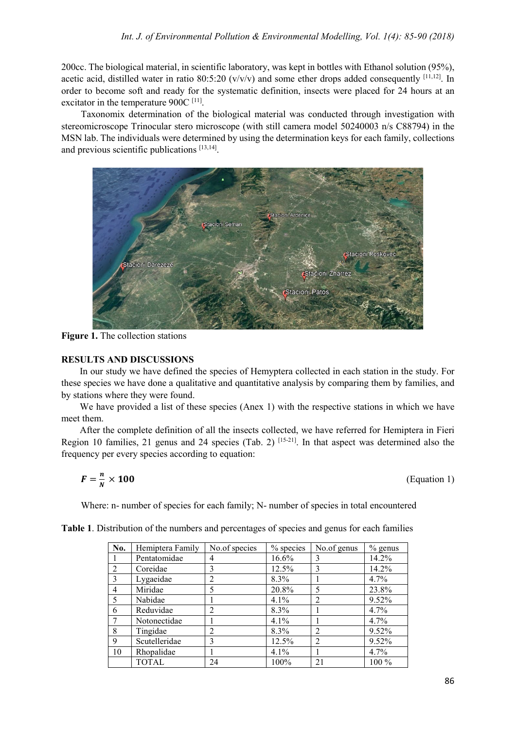200cc. The biological material, in scientific laboratory, was kept in bottles with Ethanol solution (95%), acetic acid, distilled water in ratio 80:5:20 ( $v/v/v$ ) and some ether drops added consequently [11,12]. In order to become soft and ready for the systematic definition, insects were placed for 24 hours at an excitator in the temperature  $900C$ <sup>[11]</sup>.

Taxonomix determination of the biological material was conducted through investigation with stereomicroscope Trinocular stero microscope (with still camera model 50240003 n/s C88794) in the MSN lab. The individuals were determined by using the determination keys for each family, collections and previous scientific publications [13,14].



**Figure 1.** The collection stations

### **RESULTS AND DISCUSSIONS**

In our study we have defined the species of Hemyptera collected in each station in the study. For these species we have done a qualitative and quantitative analysis by comparing them by families, and by stations where they were found.

We have provided a list of these species (Anex 1) with the respective stations in which we have meet them.

After the complete definition of all the insects collected, we have referred for Hemiptera in Fieri Region 10 families, 21 genus and 24 species (Tab. 2) [15-21]. In that aspect was determined also the frequency per every species according to equation:

$$
F=\frac{n}{N}\times 100
$$

× (Equation 1)

Where: n- number of species for each family; N- number of species in total encountered

| No.            | Hemiptera Family | No.of species                                                                                                                                                                                                                                                                                                                                                                                               | $%$ species | No.of genus    | $%$ genus |
|----------------|------------------|-------------------------------------------------------------------------------------------------------------------------------------------------------------------------------------------------------------------------------------------------------------------------------------------------------------------------------------------------------------------------------------------------------------|-------------|----------------|-----------|
|                | Pentatomidae     | 4                                                                                                                                                                                                                                                                                                                                                                                                           | 16.6%       | 3              | 14.2%     |
| $\overline{2}$ | Coreidae         | 3                                                                                                                                                                                                                                                                                                                                                                                                           | 12.5%       | 3              | 14.2%     |
| 3              | Lygaeidae        | $\overline{2}$                                                                                                                                                                                                                                                                                                                                                                                              | 8.3%        |                | 4.7%      |
| 4              | Miridae          | 5                                                                                                                                                                                                                                                                                                                                                                                                           | 20.8%       | 5              | 23.8%     |
| 5              | Nabidae          |                                                                                                                                                                                                                                                                                                                                                                                                             | $4.1\%$     | $\overline{2}$ | 9.52%     |
| 6              | Reduvidae        | $\mathfrak{D}_{1}^{(1)} = \mathfrak{D}_{2}^{(1)} = \mathfrak{D}_{2}^{(1)} = \mathfrak{D}_{2}^{(1)} = \mathfrak{D}_{2}^{(1)} = \mathfrak{D}_{2}^{(1)} = \mathfrak{D}_{2}^{(1)} = \mathfrak{D}_{2}^{(1)} = \mathfrak{D}_{2}^{(1)} = \mathfrak{D}_{2}^{(1)} = \mathfrak{D}_{2}^{(1)} = \mathfrak{D}_{2}^{(1)} = \mathfrak{D}_{2}^{(1)} = \mathfrak{D}_{2}^{(1)} = \mathfrak{D}_{2}^{(1)} = \mathfrak{D}_{2}^{$ | 8.3%        |                | 4.7%      |
| 7              | Notonectidae     |                                                                                                                                                                                                                                                                                                                                                                                                             | 4.1%        |                | 4.7%      |
| 8              | Tingidae         | $\mathfrak{D}$                                                                                                                                                                                                                                                                                                                                                                                              | 8.3%        | $\mathfrak{D}$ | 9.52%     |
| 9              | Scutelleridae    | 3                                                                                                                                                                                                                                                                                                                                                                                                           | 12.5%       | $\overline{2}$ | 9.52%     |
| 10             | Rhopalidae       |                                                                                                                                                                                                                                                                                                                                                                                                             | $4.1\%$     |                | 4.7%      |
|                | <b>TOTAL</b>     | 24                                                                                                                                                                                                                                                                                                                                                                                                          | 100%        | 21             | 100 %     |

**Table 1**. Distribution of the numbers and percentages of species and genus for each families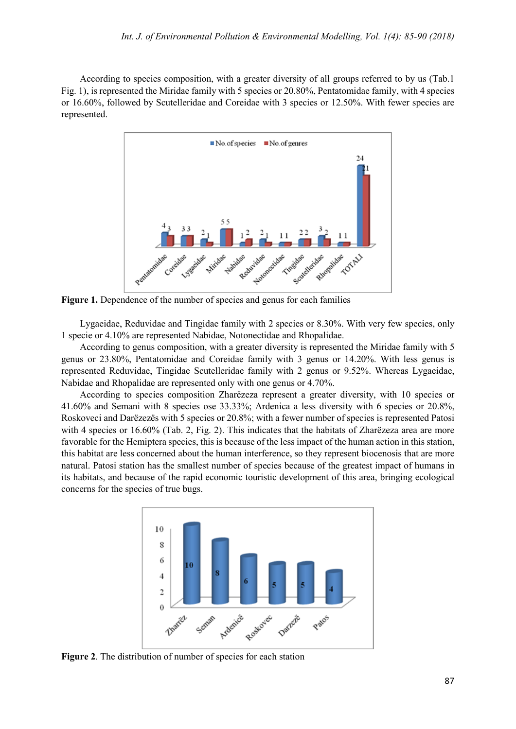According to species composition, with a greater diversity of all groups referred to by us (Tab.1 Fig. 1), is represented the Miridae family with 5 species or 20.80%, Pentatomidae family, with 4 species or 16.60%, followed by Scutelleridae and Coreidae with 3 species or 12.50%. With fewer species are represented.



**Figure 1.** Dependence of the number of species and genus for each families

Lygaeidae, Reduvidae and Tingidae family with 2 species or 8.30%. With very few species, only 1 specie or 4.10% are represented Nabidae, Notonectidae and Rhopalidae.

According to genus composition, with a greater diversity is represented the Miridae family with 5 genus or 23.80%, Pentatomidae and Coreidae family with 3 genus or 14.20%. With less genus is represented Reduvidae, Tingidae Scutelleridae family with 2 genus or 9.52%. Whereas Lygaeidae, Nabidae and Rhopalidae are represented only with one genus or 4.70%.

According to species composition Zharëzeza represent a greater diversity, with 10 species or 41.60% and Semani with 8 species ose 33.33%; Ardenica a less diversity with 6 species or 20.8%, Roskoveci and Darëzezës with 5 species or 20.8%; with a fewer number of species is represented Patosi with 4 species or 16.60% (Tab. 2, Fig. 2). This indicates that the habitats of Zharëzeza area are more favorable for the Hemiptera species, this is because of the less impact of the human action in this station, this habitat are less concerned about the human interference, so they represent biocenosis that are more natural. Patosi station has the smallest number of species because of the greatest impact of humans in its habitats, and because of the rapid economic touristic development of this area, bringing ecological concerns for the species of true bugs.



**Figure 2**. The distribution of number of species for each station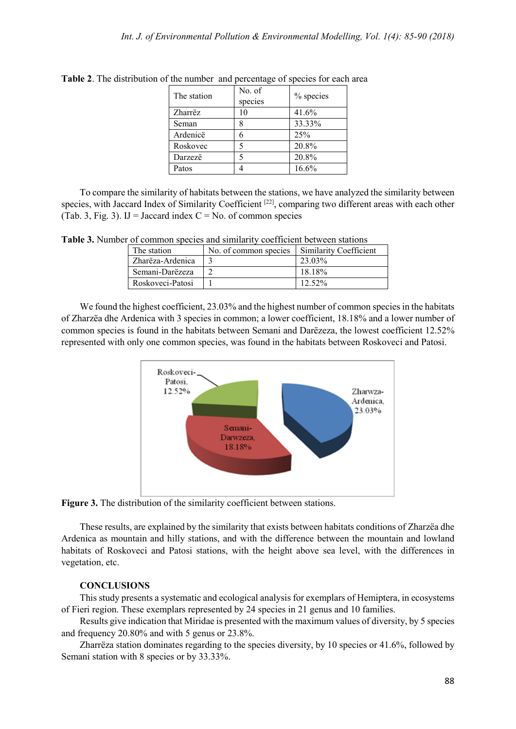| The station | No. of<br>species | % species |
|-------------|-------------------|-----------|
| Zharrëz     | 10                | 41.6%     |
| Seman       |                   | 33.33%    |
| Ardenicë    |                   | 25%       |
| Roskovec    | 5                 | 20.8%     |
| Darzezë     |                   | 20.8%     |
| Patos       |                   | 16.6%     |

**Table 2**. The distribution of the number and percentage of species for each area

To compare the similarity of habitats between the stations, we have analyzed the similarity between species, with Jaccard Index of Similarity Coefficient <sup>[22]</sup>, comparing two different areas with each other (Tab. 3, Fig. 3). IJ = Jaccard index  $C = No$ . of common species

**Table 3.** Number of common species and similarity coefficient between stations

| The station      | No. of common species | <b>Similarity Coefficient</b> |
|------------------|-----------------------|-------------------------------|
| Zharëza-Ardenica |                       | 23.03%                        |
| Semani-Darëzeza  |                       | 18.18%                        |
| Roskoveci-Patosi |                       | $12.52\%$                     |

We found the highest coefficient, 23.03% and the highest number of common species in the habitats of Zharzëa dhe Ardenica with 3 species in common; a lower coefficient, 18.18% and a lower number of common species is found in the habitats between Semani and Darëzeza, the lowest coefficient 12.52% represented with only one common species, was found in the habitats between Roskoveci and Patosi.



**Figure 3.** The distribution of the similarity coefficient between stations.

These results, are explained by the similarity that exists between habitats conditions of Zharzëa dhe Ardenica as mountain and hilly stations, and with the difference between the mountain and lowland habitats of Roskoveci and Patosi stations, with the height above sea level, with the differences in vegetation, etc.

### **CONCLUSIONS**

This study presents a systematic and ecological analysis for exemplars of Hemiptera, in ecosystems of Fieri region. These exemplars represented by 24 species in 21 genus and 10 families.

Results give indication that Miridae is presented with the maximum values of diversity, by 5 species and frequency 20.80% and with 5 genus or 23.8%.

Zharrëza station dominates regarding to the species diversity, by 10 species or 41.6%, followed by Semani station with 8 species or by 33.33%.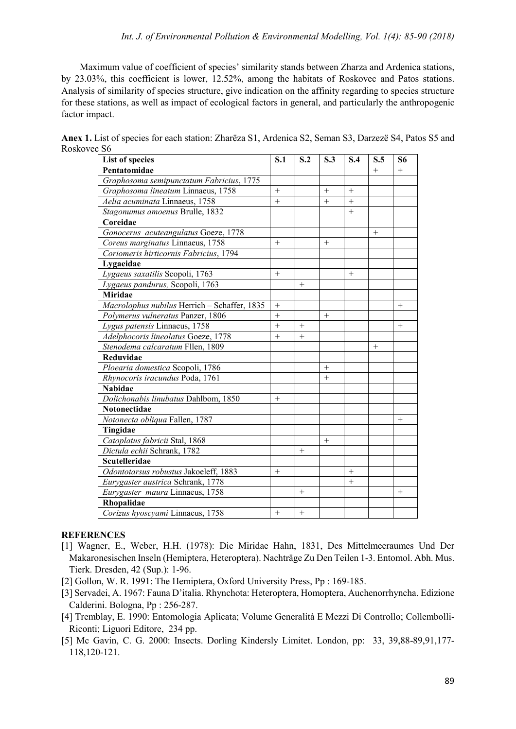Maximum value of coefficient of species' similarity stands between Zharza and Ardenica stations, by 23.03%, this coefficient is lower, 12.52%, among the habitats of Roskovec and Patos stations. Analysis of similarity of species structure, give indication on the affinity regarding to species structure for these stations, as well as impact of ecological factors in general, and particularly the anthropogenic factor impact.

**Anex 1.** List of species for each station: Zharëza S1, Ardenica S2, Seman S3, Darzezë S4, Patos S5 and Roskovec S6

| List of species                              | S.1             | S.2 | S.3    | S.4    | S.5    | S <sub>6</sub>     |
|----------------------------------------------|-----------------|-----|--------|--------|--------|--------------------|
| Pentatomidae                                 |                 |     |        |        | $^{+}$ | $+$                |
| Graphosoma semipunctatum Fabricius, 1775     |                 |     |        |        |        |                    |
| Graphosoma lineatum Linnaeus, 1758           |                 |     | $+$    | $+$    |        |                    |
| Aelia acuminata Linnaeus, 1758               | $+$             |     | $+$    | $+$    |        |                    |
| Stagonumus amoenus Brulle, 1832              |                 |     |        | $+$    |        |                    |
| Coreidae                                     |                 |     |        |        |        |                    |
| Gonocerus acuteangulatus Goeze, 1778         |                 |     |        |        | $+$    |                    |
| Coreus marginatus Linnaeus, 1758             | $^{+}$          |     | $^{+}$ |        |        |                    |
| Coriomeris hirticornis Fabricius, 1794       |                 |     |        |        |        |                    |
| Lygaeidae                                    |                 |     |        |        |        |                    |
| Lygaeus saxatilis Scopoli, 1763              | $^{+}$          |     |        | $^{+}$ |        |                    |
| Lygaeus pandurus, Scopoli, 1763              |                 | $+$ |        |        |        |                    |
| <b>Miridae</b>                               |                 |     |        |        |        |                    |
| Macrolophus nubilus Herrich - Schaffer, 1835 | $+$             |     |        |        |        | $+$                |
| Polymerus vulneratus Panzer, 1806            | $+$             |     | $^{+}$ |        |        |                    |
| Lygus patensis Linnaeus, 1758                | $\! + \!\!\!\!$ |     |        |        |        | $\hspace{0.1mm} +$ |
| Adelphocoris lineolatus Goeze, 1778          | $^{+}$          | $+$ |        |        |        |                    |
| Stenodema calcaratum Fllen, 1809             |                 |     |        |        | $^{+}$ |                    |
| Reduvidae                                    |                 |     |        |        |        |                    |
| Ploearia domestica Scopoli, 1786             |                 |     | $+$    |        |        |                    |
| Rhynocoris iracundus Poda, 1761              |                 |     | $+$    |        |        |                    |
| <b>Nabidae</b>                               |                 |     |        |        |        |                    |
| Dolichonabis linubatus Dahlbom, 1850         | $+$             |     |        |        |        |                    |
| <b>Notonectidae</b>                          |                 |     |        |        |        |                    |
| Notonecta obliqua Fallen, 1787               |                 |     |        |        |        | $^{+}$             |
| Tingidae                                     |                 |     |        |        |        |                    |
| Catoplatus fabricii Stal, 1868               |                 |     | $+$    |        |        |                    |
| Dictula echii Schrank, 1782                  |                 | $+$ |        |        |        |                    |
| <b>Scutelleridae</b>                         |                 |     |        |        |        |                    |
| Odontotarsus robustus Jakoeleff, 1883        | $^{+}$          |     |        | $^{+}$ |        |                    |
| Eurygaster austrica Schrank, 1778            |                 |     |        | $+$    |        |                    |
| Eurygaster maura Linnaeus, 1758              |                 | $+$ |        |        |        | $^{+}$             |
| Rhopalidae                                   |                 |     |        |        |        |                    |
| Corizus hyoscyami Linnaeus, 1758             | $^{+}$          | $+$ |        |        |        |                    |

## **REFERENCES**

- [1] Wagner, E., Weber, H.H. (1978): Die Miridae Hahn, 1831, Des Mittelmeeraumes Und Der Makaronesischen Inseln (Hemiptera, Heteroptera). Nachträge Zu Den Teilen 1-3. Entomol. Abh. Mus. Tierk. Dresden, 42 (Sup.): 1-96.
- [2] Gollon, W. R. 1991: The Hemiptera, Oxford University Press, Pp : 169-185.
- [3] Servadei, A. 1967: Fauna D'italia. Rhynchota: Heteroptera, Homoptera, Auchenorrhyncha. Edizione Calderini. Bologna, Pp : 256-287.
- [4] Tremblay, E. 1990: Entomologia Aplicata; Volume Generalità E Mezzi Di Controllo; Collembolli-Riconti; Liguori Editore, 234 pp.
- [5] Mc Gavin, C. G. 2000: Insects. Dorling Kindersly Limitet. London, pp: 33, 39,88-89,91,177- 118,120-121.